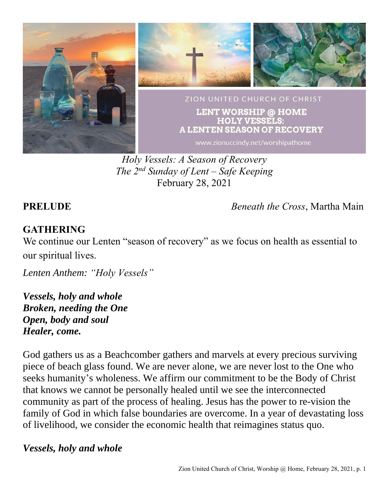

*Holy Vessels: A Season of Recovery The 2 nd Sunday of Lent – Safe Keeping* February 28, 2021

**PRELUDE** *Beneath the Cross*, Martha Main

## **GATHERING**

We continue our Lenten "season of recovery" as we focus on health as essential to our spiritual lives.

*Lenten Anthem: "Holy Vessels"*

*Vessels, holy and whole Broken, needing the One Open, body and soul Healer, come.*

God gathers us as a Beachcomber gathers and marvels at every precious surviving piece of beach glass found. We are never alone, we are never lost to the One who seeks humanity's wholeness. We affirm our commitment to be the Body of Christ that knows we cannot be personally healed until we see the interconnected community as part of the process of healing. Jesus has the power to re-vision the family of God in which false boundaries are overcome. In a year of devastating loss of livelihood, we consider the economic health that reimagines status quo.

### *Vessels, holy and whole*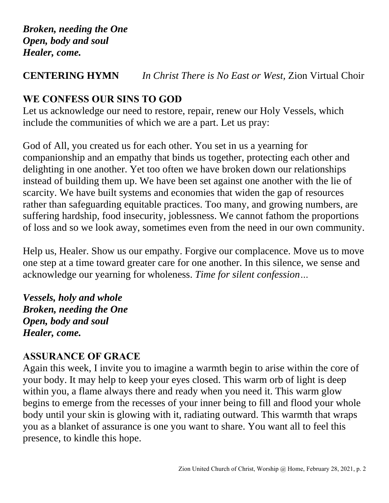### **CENTERING HYMN** *In Christ There is No East or West,* Zion Virtual Choir

# **WE CONFESS OUR SINS TO GOD**

Let us acknowledge our need to restore, repair, renew our Holy Vessels, which include the communities of which we are a part. Let us pray:

God of All, you created us for each other. You set in us a yearning for companionship and an empathy that binds us together, protecting each other and delighting in one another. Yet too often we have broken down our relationships instead of building them up. We have been set against one another with the lie of scarcity. We have built systems and economies that widen the gap of resources rather than safeguarding equitable practices. Too many, and growing numbers, are suffering hardship, food insecurity, joblessness. We cannot fathom the proportions of loss and so we look away, sometimes even from the need in our own community.

Help us, Healer. Show us our empathy. Forgive our complacence. Move us to move one step at a time toward greater care for one another. In this silence, we sense and acknowledge our yearning for wholeness. *Time for silent confession…*

*Vessels, holy and whole Broken, needing the One Open, body and soul Healer, come.*

### **ASSURANCE OF GRACE**

Again this week, I invite you to imagine a warmth begin to arise within the core of your body. It may help to keep your eyes closed. This warm orb of light is deep within you, a flame always there and ready when you need it. This warm glow begins to emerge from the recesses of your inner being to fill and flood your whole body until your skin is glowing with it, radiating outward. This warmth that wraps you as a blanket of assurance is one you want to share. You want all to feel this presence, to kindle this hope.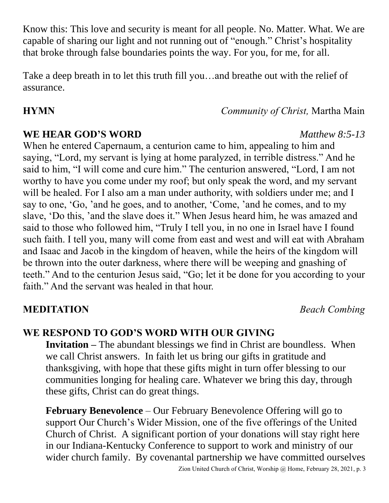Know this: This love and security is meant for all people. No. Matter. What. We are capable of sharing our light and not running out of "enough." Christ's hospitality that broke through false boundaries points the way. For you, for me, for all.

Take a deep breath in to let this truth fill you…and breathe out with the relief of assurance.

## **HYMN** *Community of Christ,* Martha Main

### **WE HEAR GOD'S WORD** *Matthew 8:5-13*

When he entered Capernaum, a centurion came to him, appealing to him and saying, "Lord, my servant is lying at home paralyzed, in terrible distress." And he said to him, "I will come and cure him." The centurion answered, "Lord, I am not worthy to have you come under my roof; but only speak the word, and my servant will be healed. For I also am a man under authority, with soldiers under me; and I say to one, 'Go, 'and he goes, and to another, 'Come, 'and he comes, and to my slave, 'Do this, 'and the slave does it." When Jesus heard him, he was amazed and said to those who followed him, "Truly I tell you, in no one in Israel have I found such faith. I tell you, many will come from east and west and will eat with Abraham and Isaac and Jacob in the kingdom of heaven, while the heirs of the kingdom will be thrown into the outer darkness, where there will be weeping and gnashing of teeth." And to the centurion Jesus said, "Go; let it be done for you according to your faith." And the servant was healed in that hour.

### **MEDITATION** *Beach Combing*

## **WE RESPOND TO GOD'S WORD WITH OUR GIVING**

**Invitation** – The abundant blessings we find in Christ are boundless. When we call Christ answers. In faith let us bring our gifts in gratitude and thanksgiving, with hope that these gifts might in turn offer blessing to our communities longing for healing care. Whatever we bring this day, through these gifts, Christ can do great things.

**February Benevolence** – Our February Benevolence Offering will go to support Our Church's Wider Mission, one of the five offerings of the United Church of Christ. A significant portion of your donations will stay right here in our Indiana-Kentucky Conference to support to work and ministry of our wider church family. By covenantal partnership we have committed ourselves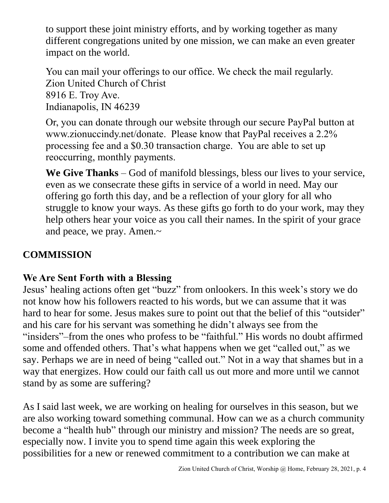to support these joint ministry efforts, and by working together as many different congregations united by one mission, we can make an even greater impact on the world.

You can mail your offerings to our office. We check the mail regularly. Zion United Church of Christ 8916 E. Troy Ave. Indianapolis, IN 46239

Or, you can donate through our website through our secure PayPal button at www.zionuccindy.net/donate. Please know that PayPal receives a 2.2% processing fee and a \$0.30 transaction charge. You are able to set up reoccurring, monthly payments.

**We Give Thanks** – God of manifold blessings, bless our lives to your service, even as we consecrate these gifts in service of a world in need. May our offering go forth this day, and be a reflection of your glory for all who struggle to know your ways. As these gifts go forth to do your work, may they help others hear your voice as you call their names. In the spirit of your grace and peace, we pray. Amen.~

# **COMMISSION**

# **We Are Sent Forth with a Blessing**

Jesus' healing actions often get "buzz" from onlookers. In this week's story we do not know how his followers reacted to his words, but we can assume that it was hard to hear for some. Jesus makes sure to point out that the belief of this "outsider" and his care for his servant was something he didn't always see from the "insiders"–from the ones who profess to be "faithful." His words no doubt affirmed some and offended others. That's what happens when we get "called out," as we say. Perhaps we are in need of being "called out." Not in a way that shames but in a way that energizes. How could our faith call us out more and more until we cannot stand by as some are suffering?

As I said last week, we are working on healing for ourselves in this season, but we are also working toward something communal. How can we as a church community become a "health hub" through our ministry and mission? The needs are so great, especially now. I invite you to spend time again this week exploring the possibilities for a new or renewed commitment to a contribution we can make at